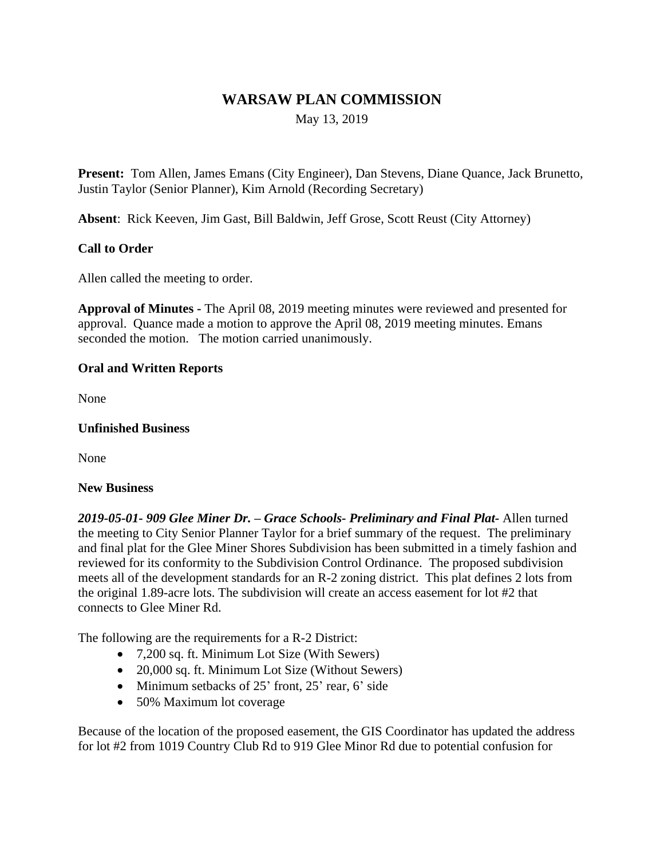# **WARSAW PLAN COMMISSION**

May 13, 2019

**Present:** Tom Allen, James Emans (City Engineer), Dan Stevens, Diane Quance, Jack Brunetto, Justin Taylor (Senior Planner), Kim Arnold (Recording Secretary)

**Absent**: Rick Keeven, Jim Gast, Bill Baldwin, Jeff Grose, Scott Reust (City Attorney)

# **Call to Order**

Allen called the meeting to order.

**Approval of Minutes -** The April 08, 2019 meeting minutes were reviewed and presented for approval. Quance made a motion to approve the April 08, 2019 meeting minutes. Emans seconded the motion. The motion carried unanimously.

## **Oral and Written Reports**

None

#### **Unfinished Business**

None

## **New Business**

*2019-05-01- 909 Glee Miner Dr. – Grace Schools- Preliminary and Final Plat-* Allen turned the meeting to City Senior Planner Taylor for a brief summary of the request. The preliminary and final plat for the Glee Miner Shores Subdivision has been submitted in a timely fashion and reviewed for its conformity to the Subdivision Control Ordinance. The proposed subdivision meets all of the development standards for an R-2 zoning district. This plat defines 2 lots from the original 1.89-acre lots. The subdivision will create an access easement for lot #2 that connects to Glee Miner Rd.

The following are the requirements for a R-2 District:

- 7,200 sq. ft. Minimum Lot Size (With Sewers)
- 20,000 sq. ft. Minimum Lot Size (Without Sewers)
- $\bullet$  Minimum setbacks of 25' front, 25' rear, 6' side
- 50% Maximum lot coverage

Because of the location of the proposed easement, the GIS Coordinator has updated the address for lot #2 from 1019 Country Club Rd to 919 Glee Minor Rd due to potential confusion for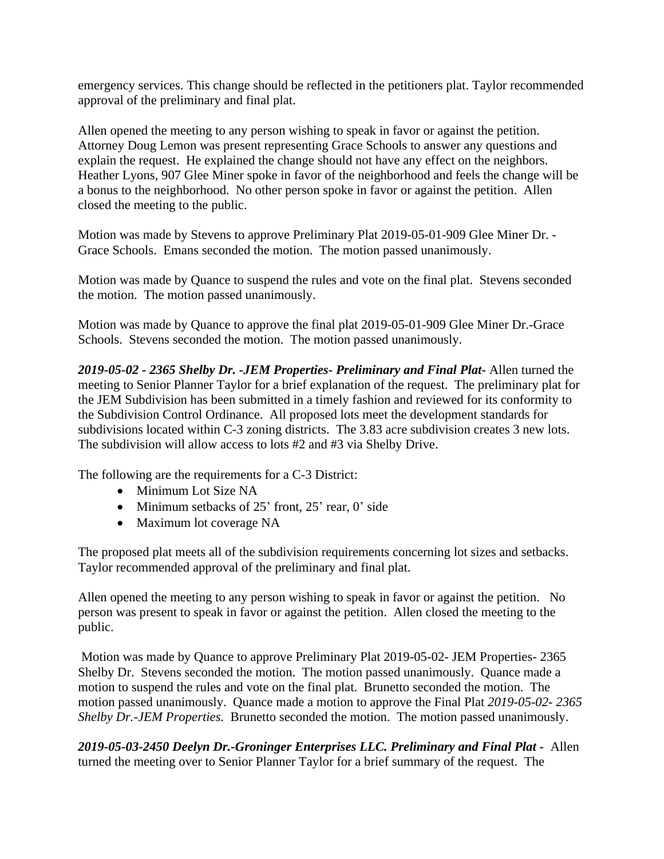emergency services. This change should be reflected in the petitioners plat. Taylor recommended approval of the preliminary and final plat.

Allen opened the meeting to any person wishing to speak in favor or against the petition. Attorney Doug Lemon was present representing Grace Schools to answer any questions and explain the request. He explained the change should not have any effect on the neighbors. Heather Lyons, 907 Glee Miner spoke in favor of the neighborhood and feels the change will be a bonus to the neighborhood. No other person spoke in favor or against the petition. Allen closed the meeting to the public.

Motion was made by Stevens to approve Preliminary Plat 2019-05-01-909 Glee Miner Dr. - Grace Schools. Emans seconded the motion. The motion passed unanimously.

Motion was made by Quance to suspend the rules and vote on the final plat. Stevens seconded the motion. The motion passed unanimously.

Motion was made by Quance to approve the final plat 2019-05-01-909 Glee Miner Dr.-Grace Schools. Stevens seconded the motion. The motion passed unanimously.

*2019-05-02 - 2365 Shelby Dr. -JEM Properties- Preliminary and Final Plat-* Allen turned the meeting to Senior Planner Taylor for a brief explanation of the request. The preliminary plat for the JEM Subdivision has been submitted in a timely fashion and reviewed for its conformity to the Subdivision Control Ordinance. All proposed lots meet the development standards for subdivisions located within C-3 zoning districts. The 3.83 acre subdivision creates 3 new lots. The subdivision will allow access to lots #2 and #3 via Shelby Drive.

The following are the requirements for a C-3 District:

- Minimum Lot Size NA
- Minimum setbacks of 25' front, 25' rear, 0' side
- Maximum lot coverage NA

The proposed plat meets all of the subdivision requirements concerning lot sizes and setbacks. Taylor recommended approval of the preliminary and final plat.

Allen opened the meeting to any person wishing to speak in favor or against the petition. No person was present to speak in favor or against the petition. Allen closed the meeting to the public.

 Motion was made by Quance to approve Preliminary Plat 2019-05-02- JEM Properties- 2365 Shelby Dr. Stevens seconded the motion. The motion passed unanimously. Quance made a motion to suspend the rules and vote on the final plat. Brunetto seconded the motion. The motion passed unanimously. Quance made a motion to approve the Final Plat *2019-05-02- 2365 Shelby Dr.-JEM Properties.* Brunetto seconded the motion. The motion passed unanimously.

*2019-05-03-2450 Deelyn Dr.-Groninger Enterprises LLC. Preliminary and Final Plat -* Allen turned the meeting over to Senior Planner Taylor for a brief summary of the request. The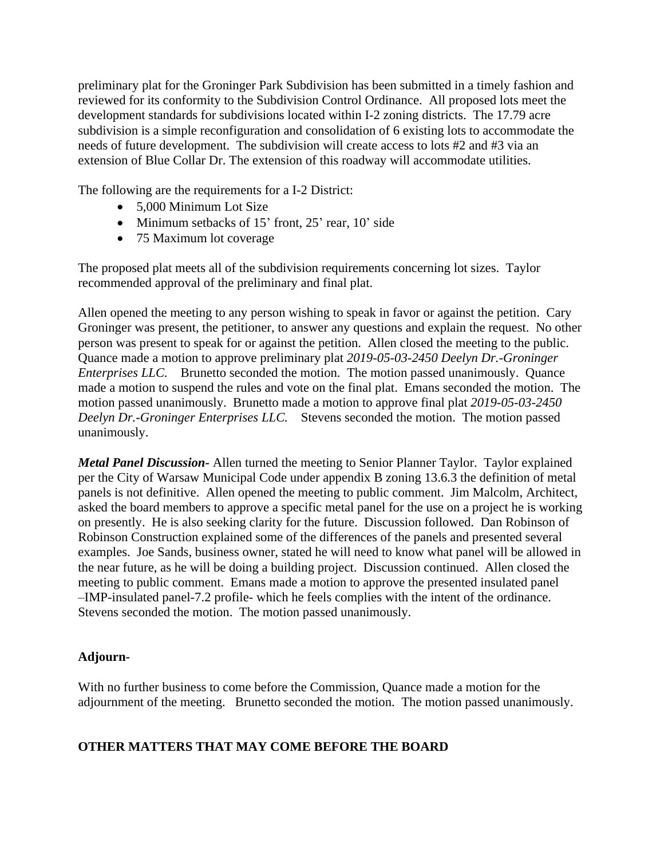preliminary plat for the Groninger Park Subdivision has been submitted in a timely fashion and reviewed for its conformity to the Subdivision Control Ordinance. All proposed lots meet the development standards for subdivisions located within I-2 zoning districts. The 17.79 acre subdivision is a simple reconfiguration and consolidation of 6 existing lots to accommodate the needs of future development. The subdivision will create access to lots #2 and #3 via an extension of Blue Collar Dr. The extension of this roadway will accommodate utilities.

The following are the requirements for a I-2 District:

- 5,000 Minimum Lot Size
- Minimum setbacks of 15' front, 25' rear, 10' side
- 75 Maximum lot coverage

The proposed plat meets all of the subdivision requirements concerning lot sizes. Taylor recommended approval of the preliminary and final plat.

Allen opened the meeting to any person wishing to speak in favor or against the petition. Cary Groninger was present, the petitioner, to answer any questions and explain the request. No other person was present to speak for or against the petition. Allen closed the meeting to the public. Quance made a motion to approve preliminary plat *2019-05-03-2450 Deelyn Dr.-Groninger Enterprises LLC.* Brunetto seconded the motion. The motion passed unanimously. Quance made a motion to suspend the rules and vote on the final plat. Emans seconded the motion. The motion passed unanimously. Brunetto made a motion to approve final plat *2019-05-03-2450 Deelyn Dr.-Groninger Enterprises LLC.* Stevens seconded the motion. The motion passed unanimously.

*Metal Panel Discussion-* Allen turned the meeting to Senior Planner Taylor. Taylor explained per the City of Warsaw Municipal Code under appendix B zoning 13.6.3 the definition of metal panels is not definitive. Allen opened the meeting to public comment. Jim Malcolm, Architect, asked the board members to approve a specific metal panel for the use on a project he is working on presently. He is also seeking clarity for the future. Discussion followed. Dan Robinson of Robinson Construction explained some of the differences of the panels and presented several examples. Joe Sands, business owner, stated he will need to know what panel will be allowed in the near future, as he will be doing a building project. Discussion continued. Allen closed the meeting to public comment. Emans made a motion to approve the presented insulated panel –IMP-insulated panel-7.2 profile- which he feels complies with the intent of the ordinance. Stevens seconded the motion. The motion passed unanimously.

## **Adjourn-**

With no further business to come before the Commission, Quance made a motion for the adjournment of the meeting. Brunetto seconded the motion. The motion passed unanimously.

# **OTHER MATTERS THAT MAY COME BEFORE THE BOARD**